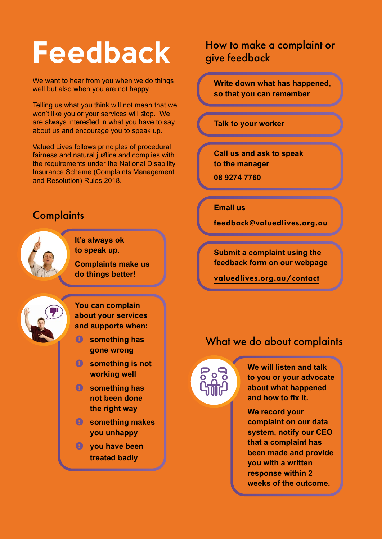# **Feedback**

We want to hear from you when we do things well but also when you are not happy.

Telling us what you think will not mean that we won't like you or your services will stop. We are always interested in what you have to say about us and encourage you to speak up.

Valued Lives follows principles of procedural fairness and natural justice and complies with the requirements under the National Disability Insurance Scheme (Complaints Management and Resolution) Rules 2018.

## **Complaints**

**It's always ok to speak up. Complaints make us do things better!**

**You can complain about your services and supports when:**

- $\bullet$  something has **gone wrong**
- **something is not working well**
- **something has not been done the right way**
- **something makes you unhappy**
- **you have been treated badl[y](mailto:feedback%40valuedlives.org.au%20%20?subject=)**

### How to make a complaint or give feedback

**Write down what has happened, so that you can remember**

**Talk to your worker**

**Call us and ask to speak to the manager**

**08 9274 7760** 

**Email us**

[feedback@valuedlives.org.au](mailto:feedback%40valuedlives.org.au%20?subject=) 

**Submit a complaint using the feedback form on our webpage**

[valuedlives.org.au/contact](https://valuedlives.org.au/contact)

#### What we do about complaints



**We will listen and talk to you or your advocate about what happened and how to fix it.**

**We record your complaint on our data system, notify our CEO that a complaint has been made and provide you with a written response within 2 weeks of the outcome.**